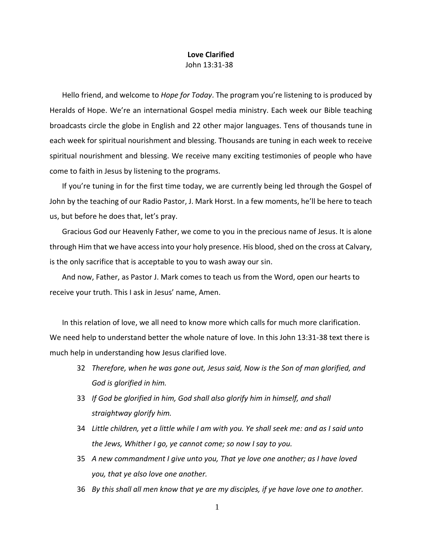## **Love Clarified** John 13:31-38

Hello friend, and welcome to *Hope for Today*. The program you're listening to is produced by Heralds of Hope. We're an international Gospel media ministry. Each week our Bible teaching broadcasts circle the globe in English and 22 other major languages. Tens of thousands tune in each week for spiritual nourishment and blessing. Thousands are tuning in each week to receive spiritual nourishment and blessing. We receive many exciting testimonies of people who have come to faith in Jesus by listening to the programs.

If you're tuning in for the first time today, we are currently being led through the Gospel of John by the teaching of our Radio Pastor, J. Mark Horst. In a few moments, he'll be here to teach us, but before he does that, let's pray.

Gracious God our Heavenly Father, we come to you in the precious name of Jesus. It is alone through Him that we have access into your holy presence. His blood, shed on the cross at Calvary, is the only sacrifice that is acceptable to you to wash away our sin.

And now, Father, as Pastor J. Mark comes to teach us from the Word, open our hearts to receive your truth. This I ask in Jesus' name, Amen.

In this relation of love, we all need to know more which calls for much more clarification. We need help to understand better the whole nature of love. In this John 13:31-38 text there is much help in understanding how Jesus clarified love.

- 32 *Therefore, when he was gone out, Jesus said, Now is the Son of man glorified, and God is glorified in him.*
- 33 *If God be glorified in him, God shall also glorify him in himself, and shall straightway glorify him.*
- 34 *Little children, yet a little while I am with you. Ye shall seek me: and as I said unto the Jews, Whither I go, ye cannot come; so now I say to you.*
- 35 *A new commandment I give unto you, That ye love one another; as I have loved you, that ye also love one another.*
- 36 *By this shall all men know that ye are my disciples, if ye have love one to another.*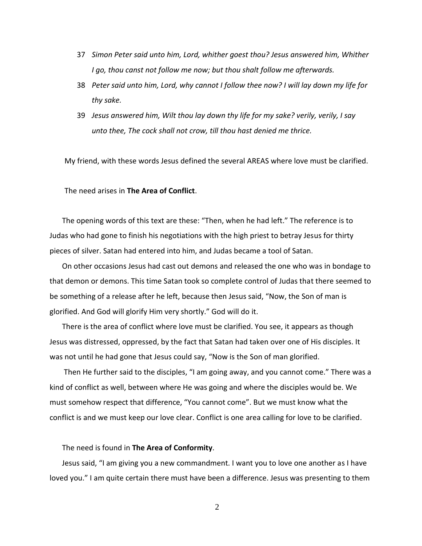- 37 *Simon Peter said unto him, Lord, whither goest thou? Jesus answered him, Whither I go, thou canst not follow me now; but thou shalt follow me afterwards.*
- 38 *Peter said unto him, Lord, why cannot I follow thee now? I will lay down my life for thy sake.*
- 39 *Jesus answered him, Wilt thou lay down thy life for my sake? verily, verily, I say unto thee, The cock shall not crow, till thou hast denied me thrice.*

My friend, with these words Jesus defined the several AREAS where love must be clarified.

The need arises in **The Area of Conflict**.

The opening words of this text are these: "Then, when he had left." The reference is to Judas who had gone to finish his negotiations with the high priest to betray Jesus for thirty pieces of silver. Satan had entered into him, and Judas became a tool of Satan.

On other occasions Jesus had cast out demons and released the one who was in bondage to that demon or demons. This time Satan took so complete control of Judas that there seemed to be something of a release after he left, because then Jesus said, "Now, the Son of man is glorified. And God will glorify Him very shortly." God will do it.

There is the area of conflict where love must be clarified. You see, it appears as though Jesus was distressed, oppressed, by the fact that Satan had taken over one of His disciples. It was not until he had gone that Jesus could say, "Now is the Son of man glorified.

Then He further said to the disciples, "I am going away, and you cannot come." There was a kind of conflict as well, between where He was going and where the disciples would be. We must somehow respect that difference, "You cannot come". But we must know what the conflict is and we must keep our love clear. Conflict is one area calling for love to be clarified.

## The need is found in **The Area of Conformity**.

Jesus said, "I am giving you a new commandment. I want you to love one another as I have loved you." I am quite certain there must have been a difference. Jesus was presenting to them

2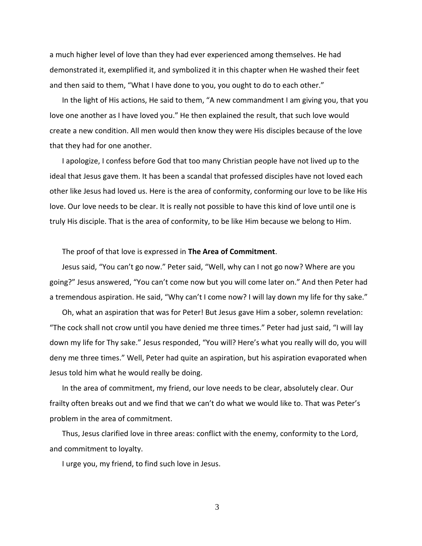a much higher level of love than they had ever experienced among themselves. He had demonstrated it, exemplified it, and symbolized it in this chapter when He washed their feet and then said to them, "What I have done to you, you ought to do to each other."

In the light of His actions, He said to them, "A new commandment I am giving you, that you love one another as I have loved you." He then explained the result, that such love would create a new condition. All men would then know they were His disciples because of the love that they had for one another.

I apologize, I confess before God that too many Christian people have not lived up to the ideal that Jesus gave them. It has been a scandal that professed disciples have not loved each other like Jesus had loved us. Here is the area of conformity, conforming our love to be like His love. Our love needs to be clear. It is really not possible to have this kind of love until one is truly His disciple. That is the area of conformity, to be like Him because we belong to Him.

## The proof of that love is expressed in **The Area of Commitment**.

Jesus said, "You can't go now." Peter said, "Well, why can I not go now? Where are you going?" Jesus answered, "You can't come now but you will come later on." And then Peter had a tremendous aspiration. He said, "Why can't I come now? I will lay down my life for thy sake."

Oh, what an aspiration that was for Peter! But Jesus gave Him a sober, solemn revelation: "The cock shall not crow until you have denied me three times." Peter had just said, "I will lay down my life for Thy sake." Jesus responded, "You will? Here's what you really will do, you will deny me three times." Well, Peter had quite an aspiration, but his aspiration evaporated when Jesus told him what he would really be doing.

In the area of commitment, my friend, our love needs to be clear, absolutely clear. Our frailty often breaks out and we find that we can't do what we would like to. That was Peter's problem in the area of commitment.

Thus, Jesus clarified love in three areas: conflict with the enemy, conformity to the Lord, and commitment to loyalty.

I urge you, my friend, to find such love in Jesus.

3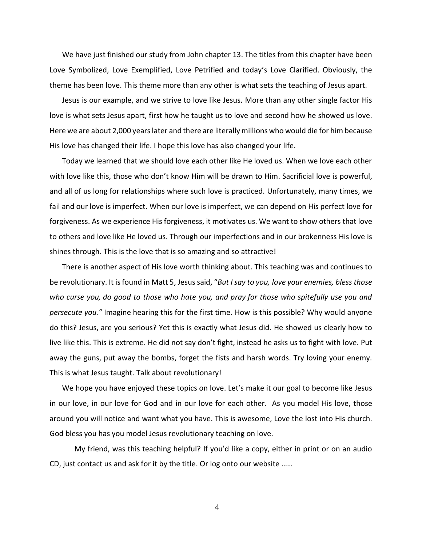We have just finished our study from John chapter 13. The titles from this chapter have been Love Symbolized, Love Exemplified, Love Petrified and today's Love Clarified. Obviously, the theme has been love. This theme more than any other is what sets the teaching of Jesus apart.

Jesus is our example, and we strive to love like Jesus. More than any other single factor His love is what sets Jesus apart, first how he taught us to love and second how he showed us love. Here we are about 2,000 years later and there are literally millions who would die for him because His love has changed their life. I hope this love has also changed your life.

Today we learned that we should love each other like He loved us. When we love each other with love like this, those who don't know Him will be drawn to Him. Sacrificial love is powerful, and all of us long for relationships where such love is practiced. Unfortunately, many times, we fail and our love is imperfect. When our love is imperfect, we can depend on His perfect love for forgiveness. As we experience His forgiveness, it motivates us. We want to show others that love to others and love like He loved us. Through our imperfections and in our brokenness His love is shines through. This is the love that is so amazing and so attractive!

There is another aspect of His love worth thinking about. This teaching was and continues to be revolutionary. It is found in Matt 5, Jesus said, "*But I say to you, love your enemies, bless those who curse you, do good to those who hate you, and pray for those who spitefully use you and persecute you."* Imagine hearing this for the first time. How is this possible? Why would anyone do this? Jesus, are you serious? Yet this is exactly what Jesus did. He showed us clearly how to live like this. This is extreme. He did not say don't fight, instead he asks us to fight with love. Put away the guns, put away the bombs, forget the fists and harsh words. Try loving your enemy. This is what Jesus taught. Talk about revolutionary!

We hope you have enjoyed these topics on love. Let's make it our goal to become like Jesus in our love, in our love for God and in our love for each other. As you model His love, those around you will notice and want what you have. This is awesome, Love the lost into His church. God bless you has you model Jesus revolutionary teaching on love.

My friend, was this teaching helpful? If you'd like a copy, either in print or on an audio CD, just contact us and ask for it by the title. Or log onto our website ……

4